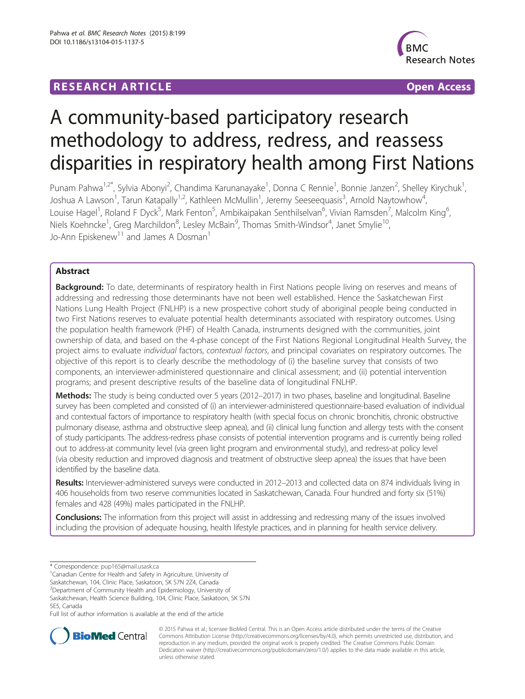# **RESEARCH ARTICLE Example 2014 CONSIDERING A RESEARCH ARTICLE**



# A community-based participatory research methodology to address, redress, and reassess disparities in respiratory health among First Nations

Punam Pahwa<sup>1,2\*</sup>, Sylvia Abonyi<sup>2</sup>, Chandima Karunanayake<sup>1</sup>, Donna C Rennie<sup>1</sup>, Bonnie Janzen<sup>2</sup>, Shelley Kirychuk<sup>1</sup> , Joshua A Lawson<sup>1</sup>, Tarun Katapally<sup>1,2</sup>, Kathleen McMullin<sup>1</sup>, Jeremy Seeseequasis<sup>3</sup>, Arnold Naytowhow<sup>4</sup> , Louise Hagel<sup>1</sup>, Roland F Dyck<sup>5</sup>, Mark Fenton<sup>5</sup>, Ambikaipakan Senthilselvan<sup>6</sup>, Vivian Ramsden<sup>7</sup>, Malcolm King<sup>6</sup> , Niels Koehncke<sup>1</sup>, Greg Marchildon<sup>8</sup>, Lesley McBain<sup>9</sup>, Thomas Smith-Windsor<sup>4</sup>, Janet Smylie<sup>10</sup>, Jo-Ann Episkenew<sup>11</sup> and James A Dosman<sup>1</sup>

# Abstract

Background: To date, determinants of respiratory health in First Nations people living on reserves and means of addressing and redressing those determinants have not been well established. Hence the Saskatchewan First Nations Lung Health Project (FNLHP) is a new prospective cohort study of aboriginal people being conducted in two First Nations reserves to evaluate potential health determinants associated with respiratory outcomes. Using the population health framework (PHF) of Health Canada, instruments designed with the communities, joint ownership of data, and based on the 4-phase concept of the First Nations Regional Longitudinal Health Survey, the project aims to evaluate individual factors, contextual factors, and principal covariates on respiratory outcomes. The objective of this report is to clearly describe the methodology of (i) the baseline survey that consists of two components, an interviewer-administered questionnaire and clinical assessment; and (ii) potential intervention programs; and present descriptive results of the baseline data of longitudinal FNLHP.

Methods: The study is being conducted over 5 years (2012–2017) in two phases, baseline and longitudinal. Baseline survey has been completed and consisted of (i) an interviewer-administered questionnaire-based evaluation of individual and contextual factors of importance to respiratory health (with special focus on chronic bronchitis, chronic obstructive pulmonary disease, asthma and obstructive sleep apnea), and (ii) clinical lung function and allergy tests with the consent of study participants. The address-redress phase consists of potential intervention programs and is currently being rolled out to address-at community level (via green light program and environmental study), and redress-at policy level (via obesity reduction and improved diagnosis and treatment of obstructive sleep apnea) the issues that have been identified by the baseline data.

Results: Interviewer-administered surveys were conducted in 2012–2013 and collected data on 874 individuals living in 406 households from two reserve communities located in Saskatchewan, Canada. Four hundred and forty six (51%) females and 428 (49%) males participated in the FNLHP.

**Conclusions:** The information from this project will assist in addressing and redressing many of the issues involved including the provision of adequate housing, health lifestyle practices, and in planning for health service delivery.

Saskatchewan, 104, Clinic Place, Saskatoon, SK S7N 2Z4, Canada

<sup>2</sup>Department of Community Health and Epidemiology, University of

Saskatchewan, Health Science Building, 104, Clinic Place, Saskatoon, SK S7N 5E5, Canada

Full list of author information is available at the end of the article



© 2015 Pahwa et al.; licensee BioMed Central. This is an Open Access article distributed under the terms of the Creative Commons Attribution License [\(http://creativecommons.org/licenses/by/4.0\)](http://creativecommons.org/licenses/by/4.0), which permits unrestricted use, distribution, and reproduction in any medium, provided the original work is properly credited. The Creative Commons Public Domain Dedication waiver [\(http://creativecommons.org/publicdomain/zero/1.0/](http://creativecommons.org/publicdomain/zero/1.0/)) applies to the data made available in this article, unless otherwise stated.

<sup>\*</sup> Correspondence: [pup165@mail.usask.ca](mailto:pup165@mail.usask.ca) <sup>1</sup>

<sup>&</sup>lt;sup>1</sup> Canadian Centre for Health and Safety in Agriculture, University of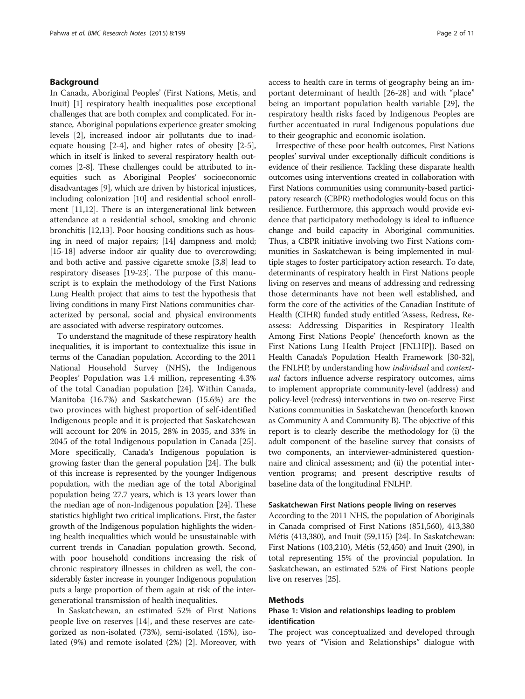#### Background

In Canada, Aboriginal Peoples' (First Nations, Metis, and Inuit) [\[1\]](#page-9-0) respiratory health inequalities pose exceptional challenges that are both complex and complicated. For instance, Aboriginal populations experience greater smoking levels [[2](#page-9-0)], increased indoor air pollutants due to inadequate housing [\[2](#page-9-0)-[4](#page-9-0)], and higher rates of obesity [\[2](#page-9-0)-[5](#page-9-0)], which in itself is linked to several respiratory health outcomes [\[2-8](#page-9-0)]. These challenges could be attributed to inequities such as Aboriginal Peoples' socioeconomic disadvantages [\[9](#page-9-0)], which are driven by historical injustices, including colonization [\[10\]](#page-9-0) and residential school enrollment [[11,12\]](#page-9-0). There is an intergenerational link between attendance at a residential school, smoking and chronic bronchitis [\[12,13](#page-9-0)]. Poor housing conditions such as housing in need of major repairs; [[14](#page-9-0)] dampness and mold; [[15](#page-9-0)-[18](#page-9-0)] adverse indoor air quality due to overcrowding; and both active and passive cigarette smoke [\[3,8\]](#page-9-0) lead to respiratory diseases [\[19](#page-9-0)-[23](#page-9-0)]. The purpose of this manuscript is to explain the methodology of the First Nations Lung Health project that aims to test the hypothesis that living conditions in many First Nations communities characterized by personal, social and physical environments are associated with adverse respiratory outcomes.

To understand the magnitude of these respiratory health inequalities, it is important to contextualize this issue in terms of the Canadian population. According to the 2011 National Household Survey (NHS), the Indigenous Peoples' Population was 1.4 million, representing 4.3% of the total Canadian population [\[24](#page-9-0)]. Within Canada, Manitoba (16.7%) and Saskatchewan (15.6%) are the two provinces with highest proportion of self-identified Indigenous people and it is projected that Saskatchewan will account for 20% in 2015, 28% in 2035, and 33% in 2045 of the total Indigenous population in Canada [\[25](#page-9-0)]. More specifically, Canada's Indigenous population is growing faster than the general population [[24](#page-9-0)]. The bulk of this increase is represented by the younger Indigenous population, with the median age of the total Aboriginal population being 27.7 years, which is 13 years lower than the median age of non-Indigenous population [[24](#page-9-0)]. These statistics highlight two critical implications. First, the faster growth of the Indigenous population highlights the widening health inequalities which would be unsustainable with current trends in Canadian population growth. Second, with poor household conditions increasing the risk of chronic respiratory illnesses in children as well, the considerably faster increase in younger Indigenous population puts a large proportion of them again at risk of the intergenerational transmission of health inequalities.

In Saskatchewan, an estimated 52% of First Nations people live on reserves [\[14](#page-9-0)], and these reserves are categorized as non-isolated (73%), semi-isolated (15%), isolated (9%) and remote isolated (2%) [[2](#page-9-0)]. Moreover, with access to health care in terms of geography being an important determinant of health [\[26](#page-9-0)-[28\]](#page-10-0) and with "place" being an important population health variable [\[29](#page-10-0)], the respiratory health risks faced by Indigenous Peoples are further accentuated in rural Indigenous populations due to their geographic and economic isolation.

Irrespective of these poor health outcomes, First Nations peoples' survival under exceptionally difficult conditions is evidence of their resilience. Tackling these disparate health outcomes using interventions created in collaboration with First Nations communities using community-based participatory research (CBPR) methodologies would focus on this resilience. Furthermore, this approach would provide evidence that participatory methodology is ideal to influence change and build capacity in Aboriginal communities. Thus, a CBPR initiative involving two First Nations communities in Saskatchewan is being implemented in multiple stages to foster participatory action research. To date, determinants of respiratory health in First Nations people living on reserves and means of addressing and redressing those determinants have not been well established, and form the core of the activities of the Canadian Institute of Health (CIHR) funded study entitled 'Assess, Redress, Reassess: Addressing Disparities in Respiratory Health Among First Nations People' (henceforth known as the First Nations Lung Health Project [FNLHP]). Based on Health Canada's Population Health Framework [[30](#page-10-0)-[32](#page-10-0)], the FNLHP, by understanding how *individual* and *context*ual factors influence adverse respiratory outcomes, aims to implement appropriate community-level (address) and policy-level (redress) interventions in two on-reserve First Nations communities in Saskatchewan (henceforth known as Community A and Community B). The objective of this report is to clearly describe the methodology for (i) the adult component of the baseline survey that consists of two components, an interviewer-administered questionnaire and clinical assessment; and (ii) the potential intervention programs; and present descriptive results of baseline data of the longitudinal FNLHP.

#### Saskatchewan First Nations people living on reserves

According to the 2011 NHS, the population of Aboriginals in Canada comprised of First Nations (851,560), 413,380 Métis (413,380), and Inuit (59,115) [[24](#page-9-0)]. In Saskatchewan: First Nations (103,210), Métis (52,450) and Inuit (290), in total representing 15% of the provincial population. In Saskatchewan, an estimated 52% of First Nations people live on reserves [[25](#page-9-0)].

#### Methods

# Phase 1: Vision and relationships leading to problem identification

The project was conceptualized and developed through two years of "Vision and Relationships" dialogue with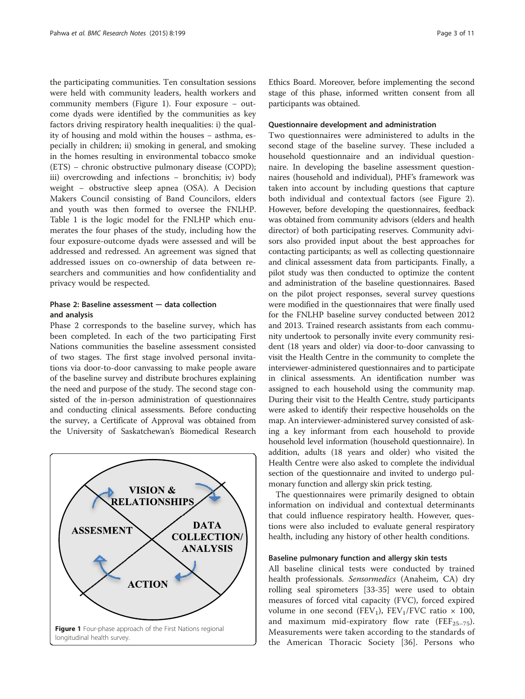the participating communities. Ten consultation sessions were held with community leaders, health workers and community members (Figure 1). Four exposure − outcome dyads were identified by the communities as key factors driving respiratory health inequalities: i) the quality of housing and mold within the houses − asthma, especially in children; ii) smoking in general, and smoking in the homes resulting in environmental tobacco smoke (ETS) − chronic obstructive pulmonary disease (COPD); iii) overcrowding and infections - bronchitis; iv) body weight − obstructive sleep apnea (OSA). A Decision Makers Council consisting of Band Councilors, elders and youth was then formed to oversee the FNLHP. Table [1](#page-3-0) is the logic model for the FNLHP which enumerates the four phases of the study, including how the four exposure-outcome dyads were assessed and will be addressed and redressed. An agreement was signed that addressed issues on co-ownership of data between researchers and communities and how confidentiality and privacy would be respected.

# Phase 2: Baseline assessment - data collection and analysis

Phase 2 corresponds to the baseline survey, which has been completed. In each of the two participating First Nations communities the baseline assessment consisted of two stages. The first stage involved personal invitations via door-to-door canvassing to make people aware of the baseline survey and distribute brochures explaining the need and purpose of the study. The second stage consisted of the in-person administration of questionnaires and conducting clinical assessments. Before conducting the survey, a Certificate of Approval was obtained from the University of Saskatchewan's Biomedical Research



Ethics Board. Moreover, before implementing the second stage of this phase, informed written consent from all participants was obtained.

#### Questionnaire development and administration

Two questionnaires were administered to adults in the second stage of the baseline survey. These included a household questionnaire and an individual questionnaire. In developing the baseline assessment questionnaires (household and individual), PHF's framework was taken into account by including questions that capture both individual and contextual factors (see Figure [2](#page-3-0)). However, before developing the questionnaires, feedback was obtained from community advisors (elders and health director) of both participating reserves. Community advisors also provided input about the best approaches for contacting participants; as well as collecting questionnaire and clinical assessment data from participants. Finally, a pilot study was then conducted to optimize the content and administration of the baseline questionnaires. Based on the pilot project responses, several survey questions were modified in the questionnaires that were finally used for the FNLHP baseline survey conducted between 2012 and 2013. Trained research assistants from each community undertook to personally invite every community resident (18 years and older) via door-to-door canvassing to visit the Health Centre in the community to complete the interviewer-administered questionnaires and to participate in clinical assessments. An identification number was assigned to each household using the community map. During their visit to the Health Centre, study participants were asked to identify their respective households on the map. An interviewer-administered survey consisted of asking a key informant from each household to provide household level information (household questionnaire). In addition, adults (18 years and older) who visited the Health Centre were also asked to complete the individual section of the questionnaire and invited to undergo pulmonary function and allergy skin prick testing.

The questionnaires were primarily designed to obtain information on individual and contextual determinants that could influence respiratory health. However, questions were also included to evaluate general respiratory health, including any history of other health conditions.

#### Baseline pulmonary function and allergy skin tests

All baseline clinical tests were conducted by trained health professionals. Sensormedics (Anaheim, CA) dry rolling seal spirometers [[33-35](#page-10-0)] were used to obtain measures of forced vital capacity (FVC), forced expired volume in one second (FEV<sub>1</sub>), FEV<sub>1</sub>/FVC ratio  $\times$  100, and maximum mid-expiratory flow rate (FEF<sub>25–75</sub>). Measurements were taken according to the standards of the American Thoracic Society [\[36](#page-10-0)]. Persons who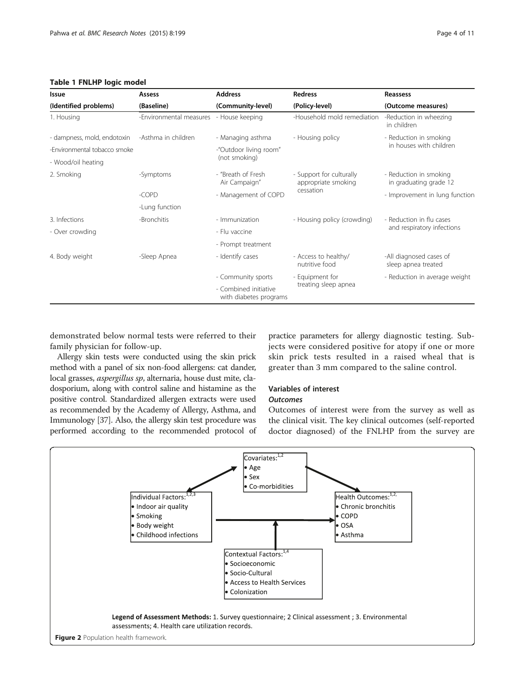# <span id="page-3-0"></span>Table 1 FNLHP logic model

| Issue                        | <b>Assess</b>           | <b>Address</b>                                  | <b>Redress</b>                                               | Reassess                                               |  |
|------------------------------|-------------------------|-------------------------------------------------|--------------------------------------------------------------|--------------------------------------------------------|--|
| (Identified problems)        | (Baseline)              | (Community-level)                               | (Policy-level)                                               | (Outcome measures)                                     |  |
| 1. Housing                   | -Environmental measures | - House keeping                                 | -Household mold remediation                                  | -Reduction in wheezing<br>in children                  |  |
| - dampness, mold, endotoxin  | -Asthma in children     | - Managing asthma                               | - Housing policy                                             | - Reduction in smoking<br>in houses with children      |  |
| -Environmental tobacco smoke |                         | -"Outdoor living room"                          |                                                              |                                                        |  |
| - Wood/oil heating           |                         | (not smoking)                                   |                                                              |                                                        |  |
| 2. Smoking                   | -Symptoms               | - "Breath of Fresh"<br>Air Campaign"            | - Support for culturally<br>appropriate smoking<br>cessation | - Reduction in smoking<br>in graduating grade 12       |  |
|                              | -COPD                   | - Management of COPD                            |                                                              | - Improvement in lung function                         |  |
|                              | -Lung function          |                                                 |                                                              |                                                        |  |
| 3. Infections                | -Bronchitis             | - Immunization                                  | - Housing policy (crowding)                                  | - Reduction in flu cases<br>and respiratory infections |  |
| - Over crowding              |                         | - Flu vaccine                                   |                                                              |                                                        |  |
|                              |                         | - Prompt treatment                              |                                                              |                                                        |  |
| 4. Body weight               | -Sleep Apnea            | - Identify cases                                | - Access to healthy/<br>nutritive food                       | -All diagnosed cases of<br>sleep apnea treated         |  |
|                              |                         | - Community sports                              | - Equipment for<br>treating sleep apnea                      | - Reduction in average weight                          |  |
|                              |                         | - Combined initiative<br>with diabetes programs |                                                              |                                                        |  |

demonstrated below normal tests were referred to their family physician for follow-up.

Allergy skin tests were conducted using the skin prick method with a panel of six non-food allergens: cat dander, local grasses, aspergillus sp, alternaria, house dust mite, cladosporium, along with control saline and histamine as the positive control. Standardized allergen extracts were used as recommended by the Academy of Allergy, Asthma, and Immunology [\[37\]](#page-10-0). Also, the allergy skin test procedure was performed according to the recommended protocol of

practice parameters for allergy diagnostic testing. Subjects were considered positive for atopy if one or more skin prick tests resulted in a raised wheal that is greater than 3 mm compared to the saline control.

# Variables of interest

#### **Outcomes**

Outcomes of interest were from the survey as well as the clinical visit. The key clinical outcomes (self-reported doctor diagnosed) of the FNLHP from the survey are

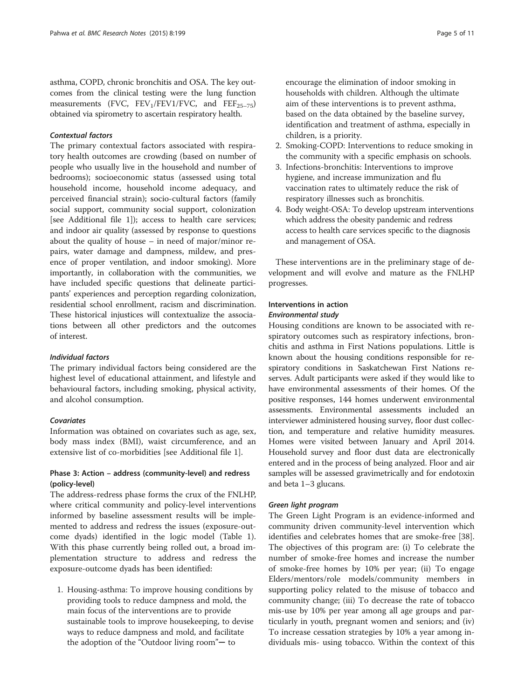asthma, COPD, chronic bronchitis and OSA. The key outcomes from the clinical testing were the lung function measurements (FVC,  $FEV_1/FEV1/FVC$ , and  $FEF_{25-75}$ ) obtained via spirometry to ascertain respiratory health.

## Contextual factors

The primary contextual factors associated with respiratory health outcomes are crowding (based on number of people who usually live in the household and number of bedrooms); socioeconomic status (assessed using total household income, household income adequacy, and perceived financial strain); socio-cultural factors (family social support, community social support, colonization [see Additional file [1\]](#page-9-0)); access to health care services; and indoor air quality (assessed by response to questions about the quality of house – in need of major/minor repairs, water damage and dampness, mildew, and presence of proper ventilation, and indoor smoking). More importantly, in collaboration with the communities, we have included specific questions that delineate participants' experiences and perception regarding colonization, residential school enrollment, racism and discrimination. These historical injustices will contextualize the associations between all other predictors and the outcomes of interest.

## Individual factors

The primary individual factors being considered are the highest level of educational attainment, and lifestyle and behavioural factors, including smoking, physical activity, and alcohol consumption.

# Covariates

Information was obtained on covariates such as age, sex, body mass index (BMI), waist circumference, and an extensive list of co-morbidities [see Additional file [1](#page-9-0)].

# Phase 3: Action – address (community-level) and redress (policy-level)

The address-redress phase forms the crux of the FNLHP, where critical community and policy-level interventions informed by baseline assessment results will be implemented to address and redress the issues (exposure-outcome dyads) identified in the logic model (Table [1](#page-3-0)). With this phase currently being rolled out, a broad implementation structure to address and redress the exposure-outcome dyads has been identified:

1. Housing-asthma: To improve housing conditions by providing tools to reduce dampness and mold, the main focus of the interventions are to provide sustainable tools to improve housekeeping, to devise ways to reduce dampness and mold, and facilitate the adoption of the "Outdoor living room"─ to

encourage the elimination of indoor smoking in households with children. Although the ultimate aim of these interventions is to prevent asthma, based on the data obtained by the baseline survey, identification and treatment of asthma, especially in children, is a priority.

- 2. Smoking-COPD: Interventions to reduce smoking in the community with a specific emphasis on schools.
- 3. Infections-bronchitis: Interventions to improve hygiene, and increase immunization and flu vaccination rates to ultimately reduce the risk of respiratory illnesses such as bronchitis.
- 4. Body weight-OSA: To develop upstream interventions which address the obesity pandemic and redress access to health care services specific to the diagnosis and management of OSA.

These interventions are in the preliminary stage of development and will evolve and mature as the FNLHP progresses.

# Interventions in action

# Environmental study

Housing conditions are known to be associated with respiratory outcomes such as respiratory infections, bronchitis and asthma in First Nations populations. Little is known about the housing conditions responsible for respiratory conditions in Saskatchewan First Nations reserves. Adult participants were asked if they would like to have environmental assessments of their homes. Of the positive responses, 144 homes underwent environmental assessments. Environmental assessments included an interviewer administered housing survey, floor dust collection, and temperature and relative humidity measures. Homes were visited between January and April 2014. Household survey and floor dust data are electronically entered and in the process of being analyzed. Floor and air samples will be assessed gravimetrically and for endotoxin and beta 1–3 glucans.

# Green light program

The Green Light Program is an evidence-informed and community driven community-level intervention which identifies and celebrates homes that are smoke-free [\[38](#page-10-0)]. The objectives of this program are: (i) To celebrate the number of smoke-free homes and increase the number of smoke-free homes by 10% per year; (ii) To engage Elders/mentors/role models/community members in supporting policy related to the misuse of tobacco and community change; (iii) To decrease the rate of tobacco mis-use by 10% per year among all age groups and particularly in youth, pregnant women and seniors; and (iv) To increase cessation strategies by 10% a year among individuals mis- using tobacco. Within the context of this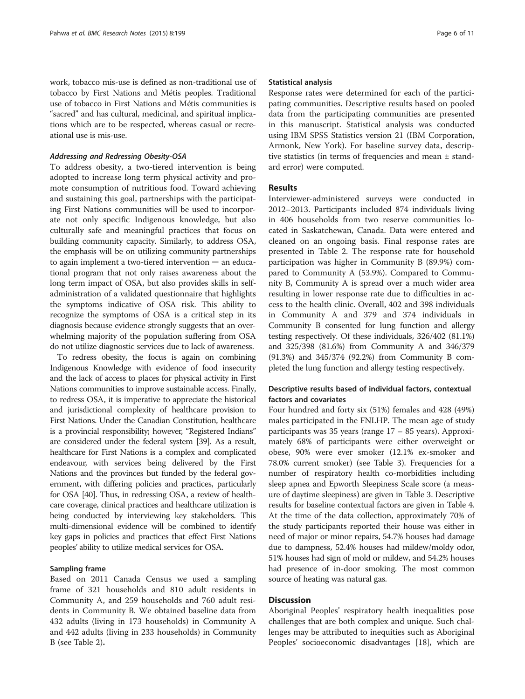work, tobacco mis-use is defined as non-traditional use of tobacco by First Nations and Métis peoples. Traditional use of tobacco in First Nations and Métis communities is "sacred" and has cultural, medicinal, and spiritual implications which are to be respected, whereas casual or recreational use is mis-use.

#### Addressing and Redressing Obesity-OSA

To address obesity, a two-tiered intervention is being adopted to increase long term physical activity and promote consumption of nutritious food. Toward achieving and sustaining this goal, partnerships with the participating First Nations communities will be used to incorporate not only specific Indigenous knowledge, but also culturally safe and meaningful practices that focus on building community capacity. Similarly, to address OSA, the emphasis will be on utilizing community partnerships to again implement a two-tiered intervention  $-$  an educational program that not only raises awareness about the long term impact of OSA, but also provides skills in selfadministration of a validated questionnaire that highlights the symptoms indicative of OSA risk. This ability to recognize the symptoms of OSA is a critical step in its diagnosis because evidence strongly suggests that an overwhelming majority of the population suffering from OSA do not utilize diagnostic services due to lack of awareness.

To redress obesity, the focus is again on combining Indigenous Knowledge with evidence of food insecurity and the lack of access to places for physical activity in First Nations communities to improve sustainable access. Finally, to redress OSA, it is imperative to appreciate the historical and jurisdictional complexity of healthcare provision to First Nations. Under the Canadian Constitution, healthcare is a provincial responsibility; however, "Registered Indians" are considered under the federal system [[39](#page-10-0)]. As a result, healthcare for First Nations is a complex and complicated endeavour, with services being delivered by the First Nations and the provinces but funded by the federal government, with differing policies and practices, particularly for OSA [\[40](#page-10-0)]. Thus, in redressing OSA, a review of healthcare coverage, clinical practices and healthcare utilization is being conducted by interviewing key stakeholders. This multi-dimensional evidence will be combined to identify key gaps in policies and practices that effect First Nations peoples' ability to utilize medical services for OSA.

# Sampling frame

Based on 2011 Canada Census we used a sampling frame of 321 households and 810 adult residents in Community A, and 259 households and 760 adult residents in Community B. We obtained baseline data from 432 adults (living in 173 households) in Community A and 442 adults (living in 233 households) in Community B (see Table [2\)](#page-6-0).

#### Statistical analysis

Response rates were determined for each of the participating communities. Descriptive results based on pooled data from the participating communities are presented in this manuscript. Statistical analysis was conducted using IBM SPSS Statistics version 21 (IBM Corporation, Armonk, New York). For baseline survey data, descriptive statistics (in terms of frequencies and mean ± standard error) were computed.

#### Results

Interviewer-administered surveys were conducted in 2012–2013. Participants included 874 individuals living in 406 households from two reserve communities located in Saskatchewan, Canada. Data were entered and cleaned on an ongoing basis. Final response rates are presented in Table [2.](#page-6-0) The response rate for household participation was higher in Community B (89.9%) compared to Community A (53.9%). Compared to Community B, Community A is spread over a much wider area resulting in lower response rate due to difficulties in access to the health clinic. Overall, 402 and 398 individuals in Community A and 379 and 374 individuals in Community B consented for lung function and allergy testing respectively. Of these individuals, 326/402 (81.1%) and 325/398 (81.6%) from Community A and 346/379 (91.3%) and 345/374 (92.2%) from Community B completed the lung function and allergy testing respectively.

# Descriptive results based of individual factors, contextual factors and covariates

Four hundred and forty six (51%) females and 428 (49%) males participated in the FNLHP. The mean age of study participants was 35 years (range 17 – 85 years). Approximately 68% of participants were either overweight or obese, 90% were ever smoker (12.1% ex-smoker and 78.0% current smoker) (see Table [3\)](#page-7-0). Frequencies for a number of respiratory health co-morbidities including sleep apnea and Epworth Sleepiness Scale score (a measure of daytime sleepiness) are given in Table [3](#page-7-0). Descriptive results for baseline contextual factors are given in Table [4](#page-8-0). At the time of the data collection, approximately 70% of the study participants reported their house was either in need of major or minor repairs, 54.7% houses had damage due to dampness, 52.4% houses had mildew/moldy odor, 51% houses had sign of mold or mildew, and 54.2% houses had presence of in-door smoking. The most common source of heating was natural gas.

#### Discussion

Aboriginal Peoples' respiratory health inequalities pose challenges that are both complex and unique. Such challenges may be attributed to inequities such as Aboriginal Peoples' socioeconomic disadvantages [[18](#page-9-0)], which are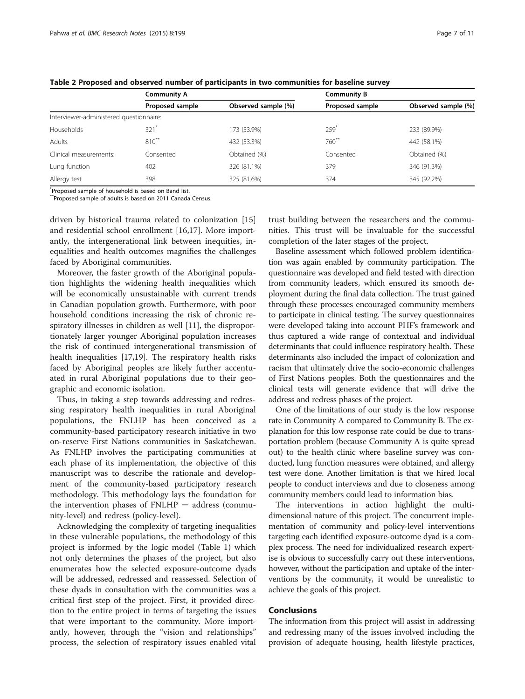|                                         | <b>Community A</b> |                     |                 | <b>Community B</b>  |  |
|-----------------------------------------|--------------------|---------------------|-----------------|---------------------|--|
|                                         | Proposed sample    | Observed sample (%) | Proposed sample | Observed sample (%) |  |
| Interviewer-administered questionnaire: |                    |                     |                 |                     |  |
| Households                              | $321$ <sup>*</sup> | 173 (53.9%)         | 259             | 233 (89.9%)         |  |
| Adults                                  | $810^{**}$         | 432 (53.3%)         | $760^{**}$      | 442 (58.1%)         |  |
| Clinical measurements:                  | Consented          | Obtained (%)        | Consented       | Obtained (%)        |  |
| Lung function                           | 402                | 326 (81.1%)         | 379             | 346 (91.3%)         |  |
| Allergy test                            | 398                | 325 (81.6%)         | 374             | 345 (92.2%)         |  |

<span id="page-6-0"></span>Table 2 Proposed and observed number of participants in two communities for baseline survey

\* Proposed sample of household is based on Band list.

\*\*Proposed sample of adults is based on 2011 Canada Census.

driven by historical trauma related to colonization [[15](#page-9-0)] and residential school enrollment [[16](#page-9-0),[17](#page-9-0)]. More importantly, the intergenerational link between inequities, inequalities and health outcomes magnifies the challenges faced by Aboriginal communities.

Moreover, the faster growth of the Aboriginal population highlights the widening health inequalities which will be economically unsustainable with current trends in Canadian population growth. Furthermore, with poor household conditions increasing the risk of chronic respiratory illnesses in children as well [[11](#page-9-0)], the disproportionately larger younger Aboriginal population increases the risk of continued intergenerational transmission of health inequalities [[17](#page-9-0),[19](#page-9-0)]. The respiratory health risks faced by Aboriginal peoples are likely further accentuated in rural Aboriginal populations due to their geographic and economic isolation.

Thus, in taking a step towards addressing and redressing respiratory health inequalities in rural Aboriginal populations, the FNLHP has been conceived as a community-based participatory research initiative in two on-reserve First Nations communities in Saskatchewan. As FNLHP involves the participating communities at each phase of its implementation, the objective of this manuscript was to describe the rationale and development of the community-based participatory research methodology. This methodology lays the foundation for the intervention phases of  $FNLHP - address$  (community-level) and redress (policy-level).

Acknowledging the complexity of targeting inequalities in these vulnerable populations, the methodology of this project is informed by the logic model (Table [1\)](#page-3-0) which not only determines the phases of the project, but also enumerates how the selected exposure-outcome dyads will be addressed, redressed and reassessed. Selection of these dyads in consultation with the communities was a critical first step of the project. First, it provided direction to the entire project in terms of targeting the issues that were important to the community. More importantly, however, through the "vision and relationships" process, the selection of respiratory issues enabled vital trust building between the researchers and the communities. This trust will be invaluable for the successful completion of the later stages of the project.

Baseline assessment which followed problem identification was again enabled by community participation. The questionnaire was developed and field tested with direction from community leaders, which ensured its smooth deployment during the final data collection. The trust gained through these processes encouraged community members to participate in clinical testing. The survey questionnaires were developed taking into account PHF's framework and thus captured a wide range of contextual and individual determinants that could influence respiratory health. These determinants also included the impact of colonization and racism that ultimately drive the socio-economic challenges of First Nations peoples. Both the questionnaires and the clinical tests will generate evidence that will drive the address and redress phases of the project.

One of the limitations of our study is the low response rate in Community A compared to Community B. The explanation for this low response rate could be due to transportation problem (because Community A is quite spread out) to the health clinic where baseline survey was conducted, lung function measures were obtained, and allergy test were done. Another limitation is that we hired local people to conduct interviews and due to closeness among community members could lead to information bias.

The interventions in action highlight the multidimensional nature of this project. The concurrent implementation of community and policy-level interventions targeting each identified exposure-outcome dyad is a complex process. The need for individualized research expertise is obvious to successfully carry out these interventions, however, without the participation and uptake of the interventions by the community, it would be unrealistic to achieve the goals of this project.

# **Conclusions**

The information from this project will assist in addressing and redressing many of the issues involved including the provision of adequate housing, health lifestyle practices,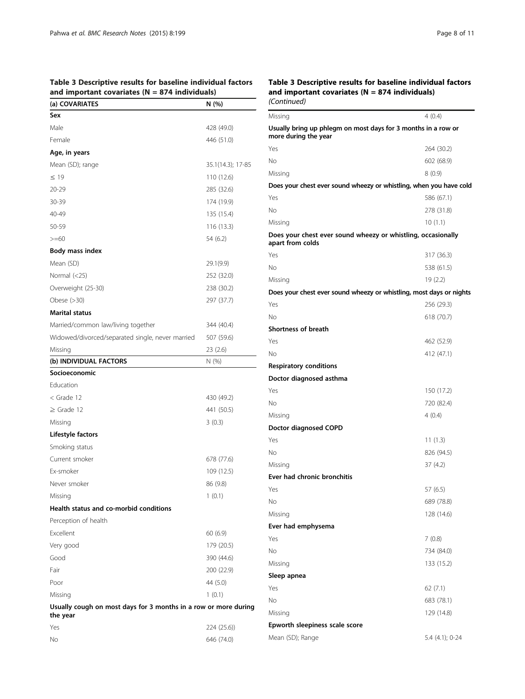<span id="page-7-0"></span>

| Table 3 Descriptive results for baseline individual factors<br>and important covariates ( $N = 874$ individuals) |                   |  |
|------------------------------------------------------------------------------------------------------------------|-------------------|--|
| (a) COVARIATES                                                                                                   | N (%)             |  |
| Sex                                                                                                              |                   |  |
| Male                                                                                                             | 428 (49.0)        |  |
| Female                                                                                                           | 446 (51.0)        |  |
| Age, in years                                                                                                    |                   |  |
| Mean (SD); range                                                                                                 | 35.1(14.3); 17-85 |  |
| $\leq$ 19                                                                                                        | 110 (12.6)        |  |
| $20 - 29$                                                                                                        | 285 (32.6)        |  |
| 30-39                                                                                                            | 174 (19.9)        |  |
| 40-49                                                                                                            | 135 (15.4)        |  |
| 50-59                                                                                                            | 116 (13.3)        |  |
| $>= 60$                                                                                                          | 54 (6.2)          |  |
| Body mass index                                                                                                  |                   |  |
| Mean (SD)                                                                                                        | 29.1(9.9)         |  |
| Normal $(<25)$                                                                                                   | 252 (32.0)        |  |
| Overweight (25-30)                                                                                               | 238 (30.2)        |  |
| Obese $(>30)$                                                                                                    | 297 (37.7)        |  |
| <b>Marital status</b>                                                                                            |                   |  |
| Married/common law/living together                                                                               | 344 (40.4)        |  |
| Widowed/divorced/separated single, never married                                                                 | 507 (59.6)        |  |
| Missing                                                                                                          | 23 (2.6)          |  |
| (b) INDIVIDUAL FACTORS                                                                                           | N (%)             |  |
| Socioeconomic                                                                                                    |                   |  |
| Education                                                                                                        |                   |  |
| < Grade 12                                                                                                       | 430 (49.2)        |  |
| $\geq$ Grade 12                                                                                                  | 441 (50.5)        |  |
| Missing                                                                                                          | 3(0.3)            |  |
| Lifestyle factors                                                                                                |                   |  |
| Smoking status                                                                                                   |                   |  |
| Current smoker                                                                                                   | 678 (77.6)        |  |
| Ex-smoker                                                                                                        | 109 (12.5)        |  |
| Never smoker                                                                                                     | 86 (9.8)          |  |
| Missing                                                                                                          | 1(0.1)            |  |
| Health status and co-morbid conditions                                                                           |                   |  |
| Perception of health                                                                                             |                   |  |
| Excellent                                                                                                        | 60 (6.9)          |  |
| Very good                                                                                                        | 179 (20.5)        |  |
| Good                                                                                                             | 390 (44.6)        |  |
| Fair                                                                                                             | 200 (22.9)        |  |
| Poor                                                                                                             | 44 (5.0)          |  |
| Missing                                                                                                          | 1(0.1)            |  |
| Usually cough on most days for 3 months in a row or more during<br>the year                                      |                   |  |
| Yes                                                                                                              | 224 (25.6))       |  |
| Νo                                                                                                               | 646 (74.0)        |  |

# Table 3 Descriptive results for baseline individual factors and important covariates ( $N = 874$  individuals)

| (Continued)                                                                           |                 |
|---------------------------------------------------------------------------------------|-----------------|
| Missing                                                                               | 4(0.4)          |
| Usually bring up phlegm on most days for 3 months in a row or<br>more during the year |                 |
| Yes                                                                                   | 264 (30.2)      |
| No                                                                                    | 602 (68.9)      |
| Missing                                                                               | 8(0.9)          |
| Does your chest ever sound wheezy or whistling, when you have cold                    |                 |
| Yes                                                                                   | 586 (67.1)      |
| No                                                                                    | 278 (31.8)      |
| Missing                                                                               | 10(1.1)         |
| Does your chest ever sound wheezy or whistling, occasionally<br>apart from colds      |                 |
| Yes                                                                                   | 317 (36.3)      |
| Nο                                                                                    | 538 (61.5)      |
| Missing                                                                               | 19(2.2)         |
| Does your chest ever sound wheezy or whistling, most days or nights                   |                 |
| Yes                                                                                   | 256 (29.3)      |
| <b>No</b>                                                                             | 618 (70.7)      |
| <b>Shortness of breath</b>                                                            |                 |
| Yes                                                                                   | 462 (52.9)      |
| No                                                                                    | 412 (47.1)      |
| <b>Respiratory conditions</b>                                                         |                 |
| Doctor diagnosed asthma                                                               |                 |
| Yes                                                                                   | 150 (17.2)      |
| No                                                                                    | 720 (82.4)      |
| Missing                                                                               | 4(0.4)          |
| Doctor diagnosed COPD                                                                 |                 |
| Yes                                                                                   | 11(1.3)         |
| Νo                                                                                    | 826 (94.5)      |
| Missing                                                                               | 37 (4.2)        |
| Ever had chronic bronchitis                                                           |                 |
| Yes                                                                                   | 57 (6.5)        |
| Νo                                                                                    | 689 (78.8)      |
| Missing                                                                               | 128 (14.6)      |
| Ever had emphysema                                                                    |                 |
| Yes                                                                                   | 7(0.8)          |
| No                                                                                    | 734 (84.0)      |
| Missing                                                                               | 133 (15.2)      |
| Sleep apnea                                                                           |                 |
| Yes                                                                                   | 62(7.1)         |
| No                                                                                    | 683 (78.1)      |
| Missing                                                                               | 129 (14.8)      |
| Epworth sleepiness scale score                                                        |                 |
| Mean (SD); Range                                                                      | 5.4 (4.1); 0-24 |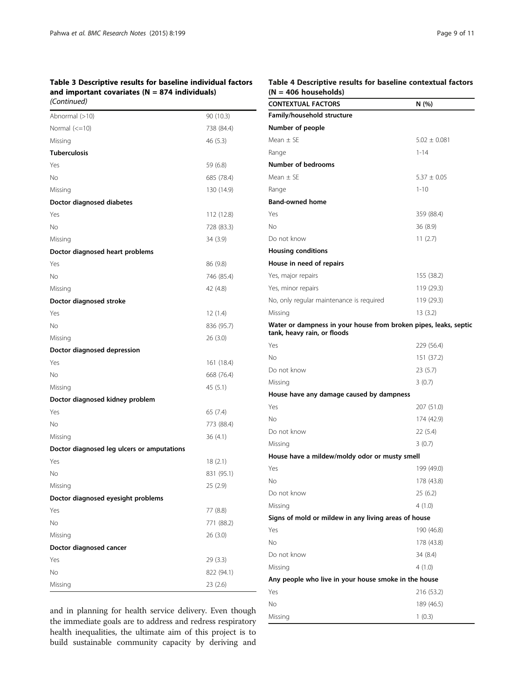#### <span id="page-8-0"></span>Table 3 Descriptive results for baseline individual factors and important covariates ( $N = 874$  individuals) (Continued)

| Abnormal $(>10)$                           | 90 (10.3)  |
|--------------------------------------------|------------|
| Normal $(<=10)$                            | 738 (84.4) |
| Missing                                    | 46 (5.3)   |
| <b>Tuberculosis</b>                        |            |
| Yes                                        | 59 (6.8)   |
| No                                         | 685 (78.4) |
| Missing                                    | 130 (14.9) |
| Doctor diagnosed diabetes                  |            |
| Yes                                        | 112 (12.8) |
| No                                         | 728 (83.3) |
| Missing                                    | 34 (3.9)   |
| Doctor diagnosed heart problems            |            |
| Yes                                        | 86 (9.8)   |
| No                                         | 746 (85.4) |
| Missing                                    | 42 (4.8)   |
| Doctor diagnosed stroke                    |            |
| Yes                                        | 12(1.4)    |
| No                                         | 836 (95.7) |
| Missing                                    | 26(3.0)    |
| Doctor diagnosed depression                |            |
| Yes                                        | 161 (18.4) |
| No                                         | 668 (76.4) |
| Missing                                    | 45 (5.1)   |
| Doctor diagnosed kidney problem            |            |
| Yes                                        | 65 (7.4)   |
| No                                         | 773 (88.4) |
| Missing                                    | 36(4.1)    |
| Doctor diagnosed leg ulcers or amputations |            |
| Yes                                        | 18(2.1)    |
| No                                         | 831 (95.1) |
| Missing                                    | 25(2.9)    |
| Doctor diagnosed eyesight problems         |            |
| Yes                                        | 77 (8.8)   |
| Νo                                         | 771 (88.2) |
| Missing                                    | 26(3.0)    |
| Doctor diagnosed cancer                    |            |
| Yes                                        | 29(3.3)    |
| No                                         | 822 (94.1) |
| Missing                                    | 23 (2.6)   |

and in planning for health service delivery. Even though the immediate goals are to address and redress respiratory health inequalities, the ultimate aim of this project is to build sustainable community capacity by deriving and

# Table 4 Descriptive results for baseline contextual factors  $(N = 406$  households)

| <b>CONTEXTUAL FACTORS</b>                                                                       | N (%)           |
|-------------------------------------------------------------------------------------------------|-----------------|
| Family/household structure                                                                      |                 |
| Number of people                                                                                |                 |
| Mean $\pm$ SF                                                                                   | $5.02 + 0.081$  |
| Range                                                                                           | $1 - 14$        |
| <b>Number of bedrooms</b>                                                                       |                 |
| Mean $\pm$ SE                                                                                   | $5.37 \pm 0.05$ |
| Range                                                                                           | $1 - 10$        |
| <b>Band-owned home</b>                                                                          |                 |
| Yes                                                                                             | 359 (88.4)      |
| Nο                                                                                              | 36(8.9)         |
| Do not know                                                                                     | 11(2.7)         |
| <b>Housing conditions</b>                                                                       |                 |
| House in need of repairs                                                                        |                 |
| Yes, major repairs                                                                              | 155 (38.2)      |
| Yes, minor repairs                                                                              | 119 (29.3)      |
| No, only regular maintenance is required                                                        | 119 (29.3)      |
| Missing                                                                                         | 13 (3.2)        |
| Water or dampness in your house from broken pipes, leaks, septic<br>tank, heavy rain, or floods |                 |
| Yes                                                                                             | 229 (56.4)      |
| No                                                                                              | 151 (37.2)      |
| Do not know                                                                                     | 23 (5.7)        |
| Missing                                                                                         | 3(0.7)          |
| House have any damage caused by dampness                                                        |                 |
| Yes                                                                                             | 207 (51.0)      |
| Νo                                                                                              | 174 (42.9)      |
| Do not know                                                                                     | 22 (5.4)        |
| Missing                                                                                         | 3(0.7)          |
| House have a mildew/moldy odor or musty smell                                                   |                 |
| Yes                                                                                             | 199 (49.0)      |
| Νo                                                                                              | 178 (43.8)      |
| Do not know                                                                                     | 25(6.2)         |
| Missing                                                                                         | 4(1.0)          |
| Signs of mold or mildew in any living areas of house                                            |                 |
| Yes                                                                                             | 190 (46.8)      |
| Νo                                                                                              | 178 (43.8)      |
| Do not know                                                                                     | 34 (8.4)        |
| Missing                                                                                         | 4(1.0)          |
| Any people who live in your house smoke in the house                                            |                 |
| Yes                                                                                             | 216 (53.2)      |
| Νo                                                                                              | 189 (46.5)      |
| Missing                                                                                         | 1(0.3)          |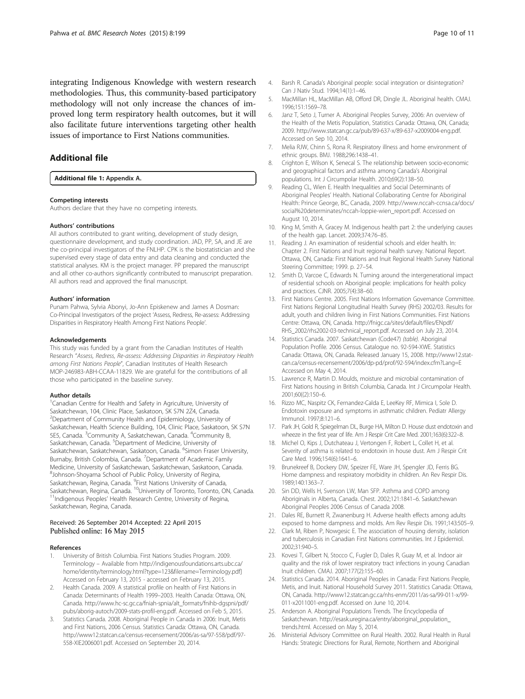<span id="page-9-0"></span>integrating Indigenous Knowledge with western research methodologies. Thus, this community-based participatory methodology will not only increase the chances of improved long term respiratory health outcomes, but it will also facilitate future interventions targeting other health issues of importance to First Nations communities.

# Additional file

# [Additional file 1:](http://www.biomedcentral.com/content/supplementary/s13104-015-1137-5-s1.doc) Appendix A.

#### Competing interests

Authors declare that they have no competing interests.

#### Authors' contributions

All authors contributed to grant writing, development of study design, questionnaire development, and study coordination. JAD, PP, SA, and JE are the co-principal investigators of the FNLHP. CPK is the biostatistician and she supervised every stage of data entry and data cleaning and conducted the statistical analyses. KM is the project manager. PP prepared the manuscript and all other co-authors significantly contributed to manuscript preparation. All authors read and approved the final manuscript.

#### Authors' information

Punam Pahwa, Sylvia Abonyi, Jo-Ann Episkenew and James A Dosman: Co-Principal Investigators of the project 'Assess, Redress, Re-assess: Addressing Disparities in Respiratory Health Among First Nations People'.

#### Acknowledgements

This study was funded by a grant from the Canadian Institutes of Health Research "Assess, Redress, Re-assess: Addressing Disparities in Respiratory Health among First Nations People", Canadian Institutes of Health Research MOP-246983-ABH-CCAA-11829. We are grateful for the contributions of all those who participated in the baseline survey.

#### Author details

<sup>1</sup>Canadian Centre for Health and Safety in Agriculture, University of Saskatchewan, 104, Clinic Place, Saskatoon, SK S7N 2Z4, Canada. 2 Department of Community Health and Epidemiology, University of Saskatchewan, Health Science Building, 104, Clinic Place, Saskatoon, SK S7N 5E5, Canada. <sup>3</sup>Community A, Saskatchewan, Canada. <sup>4</sup>Community B, Saskatchewan, Canada. <sup>5</sup>Department of Medicine, University of Saskatchewan, Saskatchewan, Saskatoon, Canada. <sup>6</sup>Simon Fraser University, Burnaby, British Colombia, Canada. <sup>7</sup>Department of Academic Family Medicine, University of Saskatchewan, Saskatchewan, Saskatoon, Canada. <sup>8</sup>Johnson-Shoyama School of Public Policy, University of Regina, Saskatchewan, Regina, Canada. <sup>9</sup>First Nations University of Canada, Saskatchewan, Regina, Canada. <sup>10</sup>University of Toronto, Toronto, ON, Canada.<br><sup>11</sup>Indigenous Peoples' Health Research Centre, University of Regina, Saskatchewan, Regina, Canada.

#### Received: 26 September 2014 Accepted: 22 April 2015 Published online: 16 May 2015

#### References

- 1. University of British Columbia. First Nations Studies Program. 2009. Terminology – Available from [http://indigenousfoundations.arts.ubc.ca/](http://indigenousfoundations.arts.ubc.ca/home/identity/terminology.html?type=123&filename=Terminology.pdf) [home/identity/terminology.html?type=123&filename=Terminology.pdf\]](http://indigenousfoundations.arts.ubc.ca/home/identity/terminology.html?type=123&filename=Terminology.pdf) Accessed on February 13, 2015 - accessed on February 13, 2015.
- 2. Health Canada. 2009. A statistical profile on health of First Nations in Canada: Determinants of Health 1999–2003. Health Canada: Ottawa, ON, Canada. [http://www.hc-sc.gc.ca/fniah-spnia/alt\\_formats/fnihb-dgspni/pdf/](http://www.hc-sc.gc.ca/fniah-spnia/alt_formats/fnihb-dgspni/pdf/pubs/aborig-autoch/2009-stats-profil-eng.pdf) [pubs/aborig-autoch/2009-stats-profil-eng.pdf.](http://www.hc-sc.gc.ca/fniah-spnia/alt_formats/fnihb-dgspni/pdf/pubs/aborig-autoch/2009-stats-profil-eng.pdf) Accessed on Feb 5, 2015.
- Statistics Canada. 2008. Aboriginal People in Canada in 2006: Inuit, Metis and First Nations, 2006 Census. Statistics Canada: Ottawa, ON, Canada. [http://www12.statcan.ca/census-recensement/2006/as-sa/97-558/pdf/97-](http://www12.statcan.ca/census-recensement/2006/as-sa/97-558/pdf/97-558-XIE2006001.pdf) [558-XIE2006001.pdf](http://www12.statcan.ca/census-recensement/2006/as-sa/97-558/pdf/97-558-XIE2006001.pdf). Accessed on September 20, 2014.
- 4. Barsh R. Canada's Aboriginal people: social integration or disintegration? Can J Nativ Stud. 1994;14(1):1–46.
- 5. MacMillan HL, MacMillan AB, Offord DR, Dingle JL. Aboriginal health. CMAJ. 1996;151:1569–78.
- 6. Janz T, Seto J, Turner A. Aboriginal Peoples Survey, 2006: An overview of the Health of the Metis Population, Statistics Canada: Ottawa, ON, Canada; 2009.<http://www.statcan.gc.ca/pub/89-637-x/89-637-x2009004-eng.pdf>. Accessed on Sep 10, 2014.
- 7. Melia RJW, Chinn S, Rona R. Respiratory illness and home environment of ethnic groups. BMJ. 1988;296:1438–41.
- 8. Crighton E, Wilson K, Senecal S. The relationship between socio-economic and geographical factors and asthma among Canada's Aboriginal populations. Int J Circumpolar Health. 2010;69(2):138–50.
- 9. Reading CL, Wien E. Health Inequalities and Social Determinants of Aboriginal Peoples' Health. National Collaborating Centre for Aboriginal Health: Prince George, BC, Canada, 2009. [http://www.nccah-ccnsa.ca/docs/](http://www.nccah-ccnsa.ca/docs/social%20determinates/nccah-loppie-wien_report.pdf) [social%20determinates/nccah-loppie-wien\\_report.pdf.](http://www.nccah-ccnsa.ca/docs/social%20determinates/nccah-loppie-wien_report.pdf) Accessed on August 10, 2014.
- 10. King M, Smith A, Gracey M. Indigenous health part 2: the underlying causes of the health gap. Lancet. 2009;374:76–85.
- 11. Reading J. An examination of residential schools and elder health. In: Chapter 2. First Nations and Inuit regional health survey. National Report. Ottawa, ON, Canada: First Nations and Inuit Regional Health Survey National Steering Committee; 1999. p. 27–54.
- 12. Smith D, Varcoe C, Edwards N. Turning around the intergenerational impact of residential schools on Aboriginal people: implications for health policy and practices. CJNR. 2005;7(4):38–60.
- 13. First Nations Centre. 2005. First Nations Information Governance Committee. First Nations Regional Longitudinal Health Survey (RHS) 2002/03. Results for adult, youth and children living in First Nations Communities. First Nations Centre: Ottawa, ON, Canada. [http://fnigc.ca/sites/default/files/ENpdf/](http://fnigc.ca/sites/default/files/ENpdf/RHS_2002/rhs2002-03-technical_report.pdf) [RHS\\_2002/rhs2002-03-technical\\_report.pdf.](http://fnigc.ca/sites/default/files/ENpdf/RHS_2002/rhs2002-03-technical_report.pdf) Accessed on July 23, 2014.
- 14. Statistics Canada. 2007. Saskatchewan (Code47) (table). Aboriginal Population Profile. 2006 Census. Catalogue no. 92-594-XWE. Statistics Canada: Ottawa, ON, Canada. Released January 15, 2008. [http://www12.stat](http://www12.statcan.ca/census-recensement/2006/dp-pd/prof/92-594/index.cfm?Lang=E)[can.ca/census-recensement/2006/dp-pd/prof/92-594/index.cfm?Lang=E](http://www12.statcan.ca/census-recensement/2006/dp-pd/prof/92-594/index.cfm?Lang=E) Accessed on May 4, 2014.
- 15. Lawrence R, Martin D. Moulds, moisture and microbial contamination of First Nations housing in British Columbia, Canada. Int J Circumpolar Health. 2001;60((2):150–6.
- 16. Rizzo MC, Naspitz CK, Fernandez-Calda E, LeeKey RF, Mimica I, Sole D. Endotoxin exposure and symptoms in asthmatic children. Pediatr Allergy Immunol. 1997;8:121–6.
- 17. Park JH, Gold R, Spiegelman DL, Burge HA, Milton D. House dust endotoxin and wheeze in the first year of life. Am J Respir Crit Care Med. 2001;163(6):322–8.
- 18. Michel O, Kips J, Dutchateau J, Vertongen F, Robert L, Collet H, et al. Severity of asthma is related to endotoxin in house dust. Am J Respir Crit Care Med. 1996;154(6):1641–6.
- 19. Brunekreef B, Dockery DW, Speizer FE, Ware JH, Spengler JD, Ferris BG. Home dampness and respiratory morbidity in children. An Rev Respir Dis. 1989;140:1363–7.
- 20. Sin DD, Wells H, Svenson LW, Man SFP. Asthma and COPD among Aboriginals in Alberta, Canada. Chest. 2002;121:1841–6. Saskatchewan Aboriginal Peoples 2006 Census of Canada 2008.
- 21. Dales RE, Burnett R, Zwanenburg H. Adverse health effects among adults exposed to home dampness and molds. Am Rev Respir Dis. 1991;143:505–9.
- 22. Clark M, Riben P, Nowgesic E. The association of housing density, isolation and tuberculosis in Canadian First Nations communities. Int J Epidemiol. 2002;31:940–5.
- 23. Kovesi T, Gilbert N, Stocco C, Fugler D, Dales R, Guay M, et al. Indoor air quality and the risk of lower respiratory tract infections in young Canadian Inuit children. CMAJ. 2007;177(2):155–60.
- 24. Statistics Canada. 2014. Aboriginal Peoples in Canada: First Nations People, Metis, and Inuit. National Household Survey 2011. Statistics Canada: Ottawa, ON, Canada. [http://www12.statcan.gc.ca/nhs-enm/2011/as-sa/99-011-x/99-](http://www12.statcan.gc.ca/nhs-enm/2011/as-sa/99-011-x/99-011-x2011001-eng.pdf) [011-x2011001-eng.pdf.](http://www12.statcan.gc.ca/nhs-enm/2011/as-sa/99-011-x/99-011-x2011001-eng.pdf) Accessed on June 10, 2014.
- 25. Anderson A. Aboriginal Populations Trends. The Encyclopedia of Saskatchewan. [http://esask.uregina.ca/entry/aboriginal\\_population\\_](http://esask.uregina.ca/entry/aboriginal_population_trends.html) [trends.html](http://esask.uregina.ca/entry/aboriginal_population_trends.html). Accessed on May 5, 2014.
- 26. Ministerial Advisory Committee on Rural Health. 2002. Rural Health in Rural Hands: Strategic Directions for Rural, Remote, Northern and Aboriginal